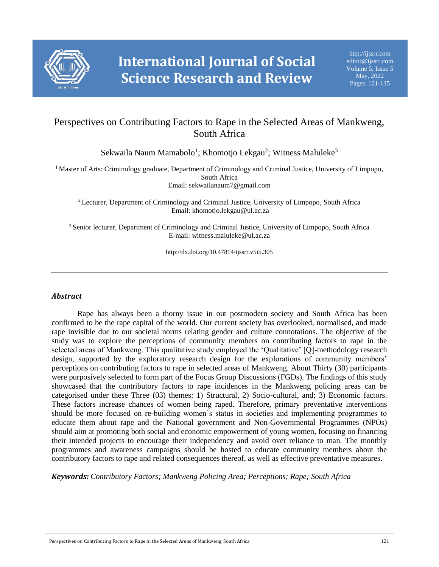

# Perspectives on Contributing Factors to Rape in the Selected Areas of Mankweng, South Africa

Sekwaila Naum Mamabolo<sup>1</sup>; Khomotjo Lekgau<sup>2</sup>; Witness Maluleke<sup>3</sup>

<sup>1</sup> Master of Arts: Criminology graduate, Department of Criminology and Criminal Justice, University of Limpopo, South Africa Email: sekwailanaum7@gmail.com

<sup>2</sup> Lecturer, Department of Criminology and Criminal Justice, University of Limpopo, South Africa Email: khomotjo.lekgau@ul.ac.za

<sup>3</sup> Senior lecturer, Department of Criminology and Criminal Justice, University of Limpopo, South Africa E-mail: witness.maluleke@ul.ac.za

http://dx.doi.org/10.47814/ijssrr.v5i5.305

# *Abstract*

Rape has always been a thorny issue in out postmodern society and South Africa has been confirmed to be the rape capital of the world. Our current society has overlooked, normalised, and made rape invisible due to our societal norms relating gender and culture connotations. The objective of the study was to explore the perceptions of community members on contributing factors to rape in the selected areas of Mankweng. This qualitative study employed the 'Qualitative' [Q]-methodology research design, supported by the exploratory research design for the explorations of community members' perceptions on contributing factors to rape in selected areas of Mankweng. About Thirty (30) participants were purposively selected to form part of the Focus Group Discussions (FGDs). The findings of this study showcased that the contributory factors to rape incidences in the Mankweng policing areas can be categorised under these Three (03) themes: 1) Structural, 2) Socio-cultural, and; 3) Economic factors. These factors increase chances of women being raped. Therefore, primary preventative interventions should be more focused on re-building women's status in societies and implementing programmes to educate them about rape and the National government and Non-Governmental Programmes (NPOs) should aim at promoting both social and economic empowerment of young women, focusing on financing their intended projects to encourage their independency and avoid over reliance to man. The monthly programmes and awareness campaigns should be hosted to educate community members about the contributory factors to rape and related consequences thereof, as well as effective preventative measures.

*Keywords: Contributory Factors; Mankweng Policing Area; Perceptions; Rape; South Africa*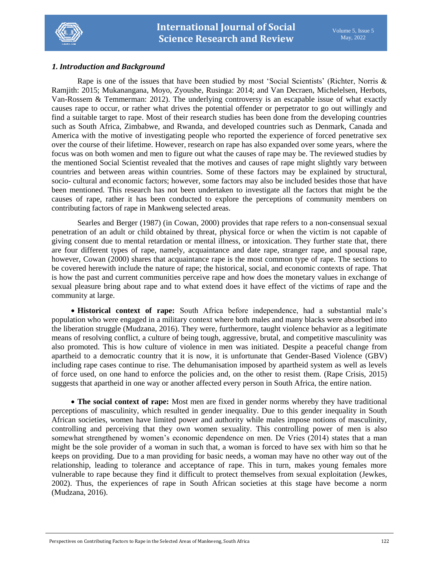

# *1. Introduction and Background*

Rape is one of the issues that have been studied by most 'Social Scientists' (Richter, Norris & Ramjith: 2015; Mukanangana, Moyo, Zyoushe, Rusinga: 2014; and Van Decraen, Michelelsen, Herbots, Van-Rossem & Temmerman: 2012). The underlying controversy is an escapable issue of what exactly causes rape to occur, or rather what drives the potential offender or perpetrator to go out willingly and find a suitable target to rape. Most of their research studies has been done from the developing countries such as South Africa, Zimbabwe, and Rwanda, and developed countries such as Denmark, Canada and America with the motive of investigating people who reported the experience of forced penetrative sex over the course of their lifetime. However, research on rape has also expanded over some years, where the focus was on both women and men to figure out what the causes of rape may be. The reviewed studies by the mentioned Social Scientist revealed that the motives and causes of rape might slightly vary between countries and between areas within countries. Some of these factors may be explained by structural, socio- cultural and economic factors; however, some factors may also be included besides those that have been mentioned. This research has not been undertaken to investigate all the factors that might be the causes of rape, rather it has been conducted to explore the perceptions of community members on contributing factors of rape in Mankweng selected areas.

Searles and Berger (1987) (in Cowan, 2000) provides that rape refers to a non-consensual sexual penetration of an adult or child obtained by threat, physical force or when the victim is not capable of giving consent due to mental retardation or mental illness, or intoxication. They further state that, there are four different types of rape, namely, acquaintance and date rape, stranger rape, and spousal rape, however, Cowan (2000) shares that acquaintance rape is the most common type of rape. The sections to be covered herewith include the nature of rape; the historical, social, and economic contexts of rape. That is how the past and current communities perceive rape and how does the monetary values in exchange of sexual pleasure bring about rape and to what extend does it have effect of the victims of rape and the community at large.

 **Historical context of rape:** South Africa before independence, had a substantial male's population who were engaged in a military context where both males and many blacks were absorbed into the liberation struggle (Mudzana, 2016). They were, furthermore, taught violence behavior as a legitimate means of resolving conflict, a culture of being tough, aggressive, brutal, and competitive masculinity was also promoted. This is how culture of violence in men was initiated. Despite a peaceful change from apartheid to a democratic country that it is now, it is unfortunate that Gender-Based Violence (GBV) including rape cases continue to rise. The dehumanisation imposed by apartheid system as well as levels of force used, on one hand to enforce the policies and, on the other to resist them. (Rape Crisis, 2015) suggests that apartheid in one way or another affected every person in South Africa, the entire nation.

 **The social context of rape:** Most men are fixed in gender norms whereby they have traditional perceptions of masculinity, which resulted in gender inequality. Due to this gender inequality in South African societies, women have limited power and authority while males impose notions of masculinity, controlling and perceiving that they own women sexuality. This controlling power of men is also somewhat strengthened by women's economic dependence on men. De Vries (2014) states that a man might be the sole provider of a woman in such that, a woman is forced to have sex with him so that he keeps on providing. Due to a man providing for basic needs, a woman may have no other way out of the relationship, leading to tolerance and acceptance of rape. This in turn, makes young females more vulnerable to rape because they find it difficult to protect themselves from sexual exploitation (Jewkes, 2002). Thus, the experiences of rape in South African societies at this stage have become a norm (Mudzana, 2016).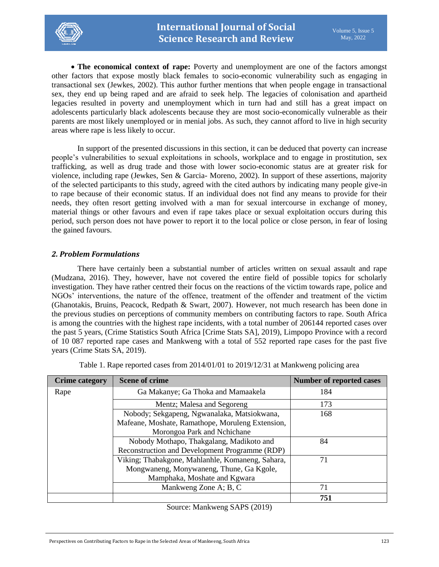

 **The economical context of rape:** Poverty and unemployment are one of the factors amongst other factors that expose mostly black females to socio-economic vulnerability such as engaging in transactional sex (Jewkes, 2002). This author further mentions that when people engage in transactional sex, they end up being raped and are afraid to seek help. The legacies of colonisation and apartheid legacies resulted in poverty and unemployment which in turn had and still has a great impact on adolescents particularly black adolescents because they are most socio-economically vulnerable as their parents are most likely unemployed or in menial jobs. As such, they cannot afford to live in high security areas where rape is less likely to occur.

In support of the presented discussions in this section, it can be deduced that poverty can increase people's vulnerabilities to sexual exploitations in schools, workplace and to engage in prostitution, sex trafficking, as well as drug trade and those with lower socio-economic status are at greater risk for violence, including rape (Jewkes, Sen & Garcia- Moreno, 2002). In support of these assertions, majority of the selected participants to this study, agreed with the cited authors by indicating many people give-in to rape because of their economic status. If an individual does not find any means to provide for their needs, they often resort getting involved with a man for sexual intercourse in exchange of money, material things or other favours and even if rape takes place or sexual exploitation occurs during this period, such person does not have power to report it to the local police or close person, in fear of losing the gained favours.

# *2. Problem Formulations*

There have certainly been a substantial number of articles written on sexual assault and rape (Mudzana, 2016). They, however, have not covered the entire field of possible topics for scholarly investigation. They have rather centred their focus on the reactions of the victim towards rape, police and NGOs' interventions, the nature of the offence, treatment of the offender and treatment of the victim (Ghanotakis, Bruins, Peacock, Redpath & Swart, 2007). However, not much research has been done in the previous studies on perceptions of community members on contributing factors to rape. South Africa is among the countries with the highest rape incidents, with a total number of 206144 reported cases over the past 5 years, (Crime Statistics South Africa [Crime Stats SA], 2019), Limpopo Province with a record of 10 087 reported rape cases and Mankweng with a total of 552 reported rape cases for the past five years (Crime Stats SA, 2019).

| <b>Crime category</b> | <b>Scene of crime</b>                            | <b>Number of reported cases</b> |
|-----------------------|--------------------------------------------------|---------------------------------|
| Rape                  | Ga Makanye; Ga Thoka and Mamaakela               | 184                             |
|                       | Mentz; Malesa and Segoreng                       | 173                             |
|                       | Nobody; Sekgapeng, Ngwanalaka, Matsiokwana,      | 168                             |
|                       | Mafeane, Moshate, Ramathope, Moruleng Extension, |                                 |
|                       | Morongoa Park and Nchichane                      |                                 |
|                       | Nobody Mothapo, Thakgalang, Madikoto and         | 84                              |
|                       | Reconstruction and Development Programme (RDP)   |                                 |
|                       | Viking; Thabakgone, Mahlanhle, Komaneng, Sahara, | 71                              |
|                       | Mongwaneng, Monywaneng, Thune, Ga Kgole,         |                                 |
|                       | Mamphaka, Moshate and Kgwara                     |                                 |
|                       | Mankweng Zone A; B, C                            | 71                              |
|                       |                                                  | 751                             |

Table 1. Rape reported cases from 2014/01/01 to 2019/12/31 at Mankweng policing area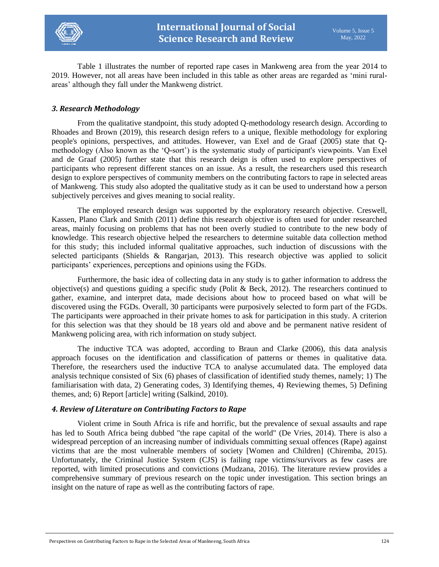

Table 1 illustrates the number of reported rape cases in Mankweng area from the year 2014 to 2019. However, not all areas have been included in this table as other areas are regarded as 'mini ruralareas' although they fall under the Mankweng district.

# *3. Research Methodology*

From the qualitative standpoint, this study adopted Q-methodology research design. According to Rhoades and Brown (2019), this research design refers to a unique, flexible methodology for exploring people's opinions, perspectives, and attitudes. However, van Exel and de Graaf (2005) state that Qmethodology (Also known as the 'Q-sort') is the systematic study of participant's viewpoints. Van Exel and de Graaf (2005) further state that this research deign is often used to explore perspectives of participants who represent different stances on an issue. As a result, the researchers used this research design to explore perspectives of community members on the contributing factors to rape in selected areas of Mankweng. This study also adopted the qualitative study as it can be used to understand how a person subjectively perceives and gives meaning to social reality.

The employed research design was supported by the exploratory research objective. Creswell, Kassen, Plano Clark and Smith (2011) define this research objective is often used for under researched areas, mainly focusing on problems that has not been overly studied to contribute to the new body of knowledge. This research objective helped the researchers to determine suitable data collection method for this study; this included informal qualitative approaches, such induction of discussions with the selected participants (Shields & Rangarjan, 2013). This research objective was applied to solicit participants' experiences, perceptions and opinions using the FGDs.

Furthermore, the basic idea of collecting data in any study is to gather information to address the objective(s) and questions guiding a specific study (Polit & Beck, 2012). The researchers continued to gather, examine, and interpret data, made decisions about how to proceed based on what will be discovered using the FGDs. Overall, 30 participants were purposively selected to form part of the FGDs. The participants were approached in their private homes to ask for participation in this study. A criterion for this selection was that they should be 18 years old and above and be permanent native resident of Mankweng policing area, with rich information on study subject.

The inductive TCA was adopted, according to Braun and Clarke (2006), this data analysis approach focuses on the identification and classification of patterns or themes in qualitative data. Therefore, the researchers used the inductive TCA to analyse accumulated data. The employed data analysis technique consisted of Six (6) phases of classification of identified study themes, namely; 1) The familiarisation with data, 2) Generating codes, 3) Identifying themes, 4) Reviewing themes, 5) Defining themes, and; 6) Report [article] writing (Salkind, 2010).

### *4. Review of Literature on Contributing Factors to Rape*

Violent crime in South Africa is rife and horrific, but the prevalence of sexual assaults and rape has led to South Africa being dubbed "the rape capital of the world" (De Vries, 2014). There is also a widespread perception of an increasing number of individuals committing sexual offences (Rape) against victims that are the most vulnerable members of society [Women and Children] (Chiremba, 2015). Unfortunately, the Criminal Justice System (CJS) is failing rape victims/survivors as few cases are reported, with limited prosecutions and convictions (Mudzana, 2016). The literature review provides a comprehensive summary of previous research on the topic under investigation. This section brings an insight on the nature of rape as well as the contributing factors of rape.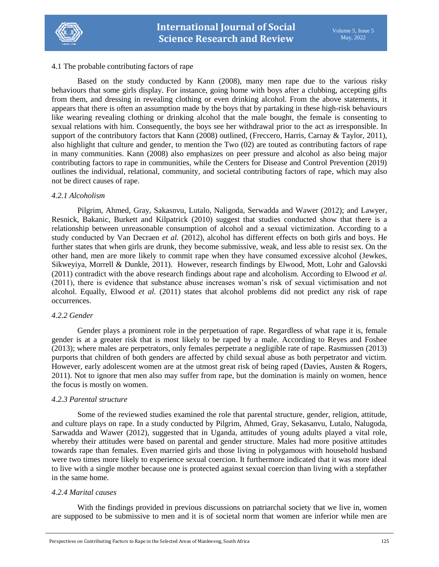

### 4.1 The probable contributing factors of rape

Based on the study conducted by Kann (2008), many men rape due to the various risky behaviours that some girls display. For instance, going home with boys after a clubbing, accepting gifts from them, and dressing in revealing clothing or even drinking alcohol. From the above statements, it appears that there is often an assumption made by the boys that by partaking in these high-risk behaviours like wearing revealing clothing or drinking alcohol that the male bought, the female is consenting to sexual relations with him. Consequently, the boys see her withdrawal prior to the act as irresponsible. In support of the contributory factors that Kann (2008) outlined, (Freccero, Harris, Carnay & Taylor, 2011), also highlight that culture and gender, to mention the Two (02) are touted as contributing factors of rape in many communities. Kann (2008) also emphasizes on peer pressure and alcohol as also being major contributing factors to rape in communities, while the Centers for Disease and Control Prevention (2019) outlines the individual, relational, community, and societal contributing factors of rape, which may also not be direct causes of rape.

### *4.2.1 Alcoholism*

Pilgrim, Ahmed, Gray, Sakasnvu, Lutalo, Naligoda, Serwadda and Wawer (2012); and Lawyer, Resnick, Bakanic, Burkett and Kilpatrick (2010) suggest that studies conducted show that there is a relationship between unreasonable consumption of alcohol and a sexual victimization. According to a study conducted by Van Decraen *et al.* (2012), alcohol has different effects on both girls and boys. He further states that when girls are drunk, they become submissive, weak, and less able to resist sex. On the other hand, men are more likely to commit rape when they have consumed excessive alcohol (Jewkes, Sikweyiya, Morrell & Dunkle, 2011). However, research findings by Elwood, Mott, Lohr and Galovski (2011) contradict with the above research findings about rape and alcoholism. According to Elwood *et al.*  (2011), there is evidence that substance abuse increases woman's risk of sexual victimisation and not alcohol. Equally, Elwood *et al.* (2011) states that alcohol problems did not predict any risk of rape occurrences.

### *4.2.2 Gender*

Gender plays a prominent role in the perpetuation of rape. Regardless of what rape it is, female gender is at a greater risk that is most likely to be raped by a male. According to Reyes and Foshee (2013); where males are perpetrators, only females perpetrate a negligible rate of rape. Rasmussen (2013) purports that children of both genders are affected by child sexual abuse as both perpetrator and victim. However, early adolescent women are at the utmost great risk of being raped (Davies, Austen & Rogers, 2011). Not to ignore that men also may suffer from rape, but the domination is mainly on women, hence the focus is mostly on women.

# *4.2.3 Parental structure*

Some of the reviewed studies examined the role that parental structure, gender, religion, attitude, and culture plays on rape. In a study conducted by Pilgrim, Ahmed, Gray, Sekasanvu, Lutalo, Nalugoda, Sarwadda and Wawer (2012), suggested that in Uganda, attitudes of young adults played a vital role, whereby their attitudes were based on parental and gender structure. Males had more positive attitudes towards rape than females. Even married girls and those living in polygamous with household husband were two times more likely to experience sexual coercion. It furthermore indicated that it was more ideal to live with a single mother because one is protected against sexual coercion than living with a stepfather in the same home.

# *4.2.4 Marital causes*

With the findings provided in previous discussions on patriarchal society that we live in, women are supposed to be submissive to men and it is of societal norm that women are inferior while men are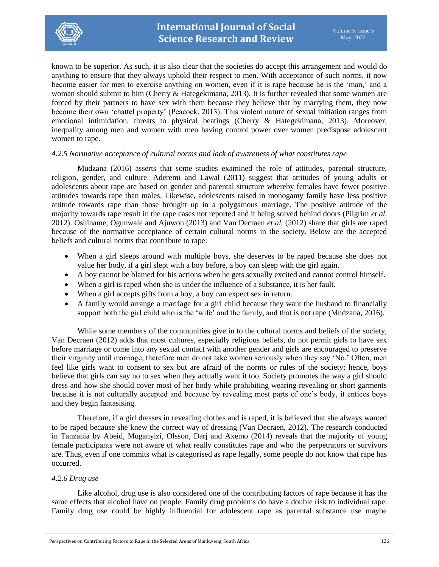

known to be superior. As such, it is also clear that the societies do accept this arrangement and would do anything to ensure that they always uphold their respect to men. With acceptance of such norms, it now become easier for men to exercise anything on women, even if it is rape because he is the 'man,' and a woman should submit to him (Cherry & Hategekimana, 2013). It is further revealed that some women are forced by their partners to have sex with them because they believe that by marrying them, they now become their own 'chattel property' (Peacock, 2013). This violent nature of sexual initiation ranges from emotional intimidation, threats to physical beatings (Cherry & Hategekimana, 2013). Moreover, inequality among men and women with men having control power over women predispose adolescent women to rape.

### *4.2.5 Normative acceptance of cultural norms and lack of awareness of what constitutes rape*

Mudzana (2016) asserts that some studies examined the role of attitudes, parental structure, religion, gender, and culture. Aderemi and Lawal (2011) suggest that attitudes of young adults or adolescents about rape are based on gender and parental structure whereby females have fewer positive attitudes towards rape than males. Likewise, adolescents raised in monogamy family have less positive attitude towards rape than those brought up in a polygamous marriage. The positive attitude of the majority towards rape result in the rape cases not reported and it being solved behind doors (Pilgrim *et al.*  2012). Oshiname, Ogunwale and Ajuwon (2013) and Van Decraen *et al.* (2012) share that girls are raped because of the normative acceptance of certain cultural norms in the society. Below are the accepted beliefs and cultural norms that contribute to rape:

- When a girl sleeps around with multiple boys, she deserves to be raped because she does not value her body, if a girl slept with a boy before, a boy can sleep with the girl again.
- A boy cannot be blamed for his actions when he gets sexually excited and cannot control himself.
- When a girl is raped when she is under the influence of a substance, it is her fault.
- When a girl accepts gifts from a boy, a boy can expect sex in return.
- A family would arrange a marriage for a girl child because they want the husband to financially support both the girl child who is the 'wife' and the family, and that is not rape (Mudzana, 2016).

While some members of the communities give in to the cultural norms and beliefs of the society, Van Decraen (2012) adds that most cultures, especially religious beliefs, do not permit girls to have sex before marriage or come into any sexual contact with another gender and girls are encouraged to preserve their virginity until marriage, therefore men do not take women seriously when they say 'No.' Often, men feel like girls want to consent to sex but are afraid of the norms or rules of the society; hence, boys believe that girls can say no to sex when they actually want it too. Society promotes the way a girl should dress and how she should cover most of her body while prohibiting wearing revealing or short garments because it is not culturally accepted and because by revealing most parts of one's body, it entices boys and they begin fantasising.

Therefore, if a girl dresses in revealing clothes and is raped, it is believed that she always wanted to be raped because she knew the correct way of dressing (Van Decraen, 2012). The research conducted in Tanzania by Abeid, Muganyizi, Olsson, Darj and Axemo (2014) reveals that the majority of young female participants were not aware of what really constitutes rape and who the perpetrators or survivors are. Thus, even if one commits what is categorised as rape legally, some people do not know that rape has occurred.

### *4.2.6 Drug use*

Like alcohol, drug use is also considered one of the contributing factors of rape because it has the same effects that alcohol have on people. Family drug problems do have a double risk to individual rape. Family drug use could be highly influential for adolescent rape as parental substance use maybe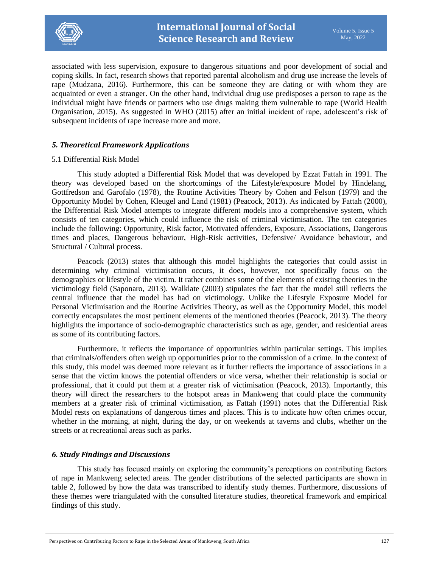

associated with less supervision, exposure to dangerous situations and poor development of social and coping skills. In fact, research shows that reported parental alcoholism and drug use increase the levels of rape (Mudzana, 2016). Furthermore, this can be someone they are dating or with whom they are acquainted or even a stranger. On the other hand, individual drug use predisposes a person to rape as the individual might have friends or partners who use drugs making them vulnerable to rape (World Health Organisation, 2015). As suggested in WHO (2015) after an initial incident of rape, adolescent's risk of subsequent incidents of rape increase more and more.

# *5. Theoretical Framework Applications*

### 5.1 Differential Risk Model

This study adopted a Differential Risk Model that was developed by Ezzat Fattah in 1991. The theory was developed based on the shortcomings of the Lifestyle/exposure Model by Hindelang, Gottfredson and Garofalo (1978), the Routine Activities Theory by Cohen and Felson (1979) and the Opportunity Model by Cohen, Kleugel and Land (1981) (Peacock, 2013). As indicated by Fattah (2000), the Differential Risk Model attempts to integrate different models into a comprehensive system, which consists of ten categories, which could influence the risk of criminal victimisation. The ten categories include the following: Opportunity, Risk factor, Motivated offenders, Exposure, Associations, Dangerous times and places, Dangerous behaviour, High-Risk activities, Defensive/ Avoidance behaviour, and Structural / Cultural process.

Peacock (2013) states that although this model highlights the categories that could assist in determining why criminal victimisation occurs, it does, however, not specifically focus on the demographics or lifestyle of the victim. It rather combines some of the elements of existing theories in the victimology field (Saponaro, 2013). Walklate (2003) stipulates the fact that the model still reflects the central influence that the model has had on victimology. Unlike the Lifestyle Exposure Model for Personal Victimisation and the Routine Activities Theory, as well as the Opportunity Model, this model correctly encapsulates the most pertinent elements of the mentioned theories (Peacock, 2013). The theory highlights the importance of socio-demographic characteristics such as age, gender, and residential areas as some of its contributing factors.

Furthermore, it reflects the importance of opportunities within particular settings. This implies that criminals/offenders often weigh up opportunities prior to the commission of a crime. In the context of this study, this model was deemed more relevant as it further reflects the importance of associations in a sense that the victim knows the potential offenders or vice versa, whether their relationship is social or professional, that it could put them at a greater risk of victimisation (Peacock, 2013). Importantly, this theory will direct the researchers to the hotspot areas in Mankweng that could place the community members at a greater risk of criminal victimisation, as Fattah (1991) notes that the Differential Risk Model rests on explanations of dangerous times and places. This is to indicate how often crimes occur, whether in the morning, at night, during the day, or on weekends at taverns and clubs, whether on the streets or at recreational areas such as parks.

# *6. Study Findings and Discussions*

This study has focused mainly on exploring the community's perceptions on contributing factors of rape in Mankweng selected areas. The gender distributions of the selected participants are shown in table 2, followed by how the data was transcribed to identify study themes. Furthermore, discussions of these themes were triangulated with the consulted literature studies, theoretical framework and empirical findings of this study.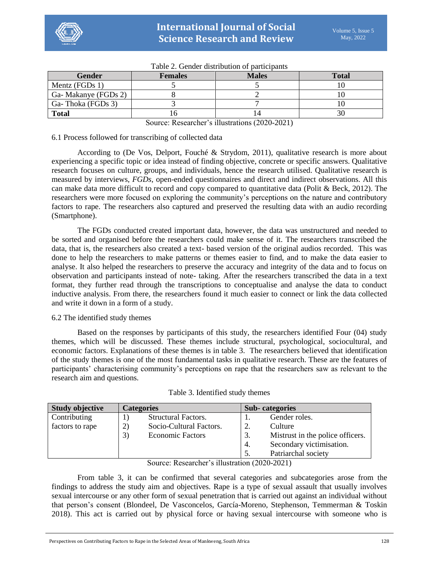| <b>Gender</b>       | <b>Females</b> | <b>Males</b> | <b>Total</b> |  |  |  |
|---------------------|----------------|--------------|--------------|--|--|--|
| Mentz ( $FGDs 1$ )  |                |              |              |  |  |  |
| Ga-Makanye (FGDs 2) |                |              |              |  |  |  |
| Ga-Thoka (FGDs 3)   |                |              |              |  |  |  |
| <b>Total</b>        | I ( )          |              |              |  |  |  |

Table 2. Gender distribution of participants

Source: Researcher's illustrations (2020-2021)

# 6.1 Process followed for transcribing of collected data

According to (De Vos, Delport, Fouché & Strydom, 2011), qualitative research is more about experiencing a specific topic or idea instead of finding objective, concrete or specific answers. Qualitative research focuses on culture, groups, and individuals, hence the research utilised. Qualitative research is measured by interviews, *FGDs*, open-ended questionnaires and direct and indirect observations. All this can make data more difficult to record and copy compared to quantitative data (Polit & Beck, 2012). The researchers were more focused on exploring the community's perceptions on the nature and contributory factors to rape. The researchers also captured and preserved the resulting data with an audio recording (Smartphone).

The FGDs conducted created important data, however, the data was unstructured and needed to be sorted and organised before the researchers could make sense of it. The researchers transcribed the data, that is, the researchers also created a text- based version of the original audios recorded. This was done to help the researchers to make patterns or themes easier to find, and to make the data easier to analyse. It also helped the researchers to preserve the accuracy and integrity of the data and to focus on observation and participants instead of note- taking. After the researchers transcribed the data in a text format, they further read through the transcriptions to conceptualise and analyse the data to conduct inductive analysis. From there, the researchers found it much easier to connect or link the data collected and write it down in a form of a study.

# 6.2 The identified study themes

Based on the responses by participants of this study, the researchers identified Four (04) study themes, which will be discussed. These themes include structural, psychological, sociocultural, and economic factors. Explanations of these themes is in table 3. The researchers believed that identification of the study themes is one of the most fundamental tasks in qualitative research. These are the features of participants' characterising community's perceptions on rape that the researchers saw as relevant to the research aim and questions.

| <b>Study objective</b> | <b>Categories</b> |                            | <b>Sub-categories</b> |                                  |
|------------------------|-------------------|----------------------------|-----------------------|----------------------------------|
| Contributing           |                   | <b>Structural Factors.</b> |                       | Gender roles.                    |
| factors to rape        | 2)                | Socio-Cultural Factors.    | 2.                    | Culture                          |
|                        | 3)                | <b>Economic Factors</b>    | 3.                    | Mistrust in the police officers. |
|                        |                   |                            | 4.                    | Secondary victimisation.         |
|                        |                   |                            |                       | Patriarchal society              |

Table 3. Identified study themes

Source: Researcher's illustration (2020-2021)

From table 3, it can be confirmed that several categories and subcategories arose from the findings to address the study aim and objectives. Rape is a type of sexual assault that usually involves sexual intercourse or any other form of sexual penetration that is carried out against an individual without that person's consent (Blondeel, De Vasconcelos, García-Moreno, Stephenson, Temmerman & Toskin 2018). This act is carried out by physical force or having sexual intercourse with someone who is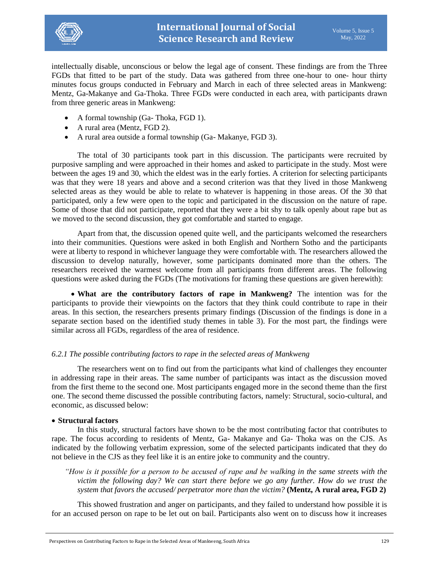

intellectually disable, unconscious or below the legal age of consent. These findings are from the Three FGDs that fitted to be part of the study. Data was gathered from three one-hour to one- hour thirty minutes focus groups conducted in February and March in each of three selected areas in Mankweng: Mentz, Ga-Makanye and Ga-Thoka. Three FGDs were conducted in each area, with participants drawn from three generic areas in Mankweng:

- A formal township (Ga- Thoka, FGD 1).
- A rural area (Mentz, FGD 2).
- A rural area outside a formal township (Ga- Makanye, FGD 3).

The total of 30 participants took part in this discussion. The participants were recruited by purposive sampling and were approached in their homes and asked to participate in the study. Most were between the ages 19 and 30, which the eldest was in the early forties. A criterion for selecting participants was that they were 18 years and above and a second criterion was that they lived in those Mankweng selected areas as they would be able to relate to whatever is happening in those areas. Of the 30 that participated, only a few were open to the topic and participated in the discussion on the nature of rape. Some of those that did not participate, reported that they were a bit shy to talk openly about rape but as we moved to the second discussion, they got comfortable and started to engage.

Apart from that, the discussion opened quite well, and the participants welcomed the researchers into their communities. Questions were asked in both English and Northern Sotho and the participants were at liberty to respond in whichever language they were comfortable with. The researchers allowed the discussion to develop naturally, however, some participants dominated more than the others. The researchers received the warmest welcome from all participants from different areas. The following questions were asked during the FGDs (The motivations for framing these questions are given herewith):

 **What are the contributory factors of rape in Mankweng?** The intention was for the participants to provide their viewpoints on the factors that they think could contribute to rape in their areas. In this section, the researchers presents primary findings (Discussion of the findings is done in a separate section based on the identified study themes in table 3). For the most part, the findings were similar across all FGDs, regardless of the area of residence.

# *6.2.1 The possible contributing factors to rape in the selected areas of Mankweng*

The researchers went on to find out from the participants what kind of challenges they encounter in addressing rape in their areas. The same number of participants was intact as the discussion moved from the first theme to the second one. Most participants engaged more in the second theme than the first one. The second theme discussed the possible contributing factors, namely: Structural, socio-cultural, and economic, as discussed below:

### **Structural factors**

In this study, structural factors have shown to be the most contributing factor that contributes to rape. The focus according to residents of Mentz, Ga- Makanye and Ga- Thoka was on the CJS. As indicated by the following verbatim expression, some of the selected participants indicated that they do not believe in the CJS as they feel like it is an entire joke to community and the country.

*"How is it possible for a person to be accused of rape and be walking in the same streets with the victim the following day? We can start there before we go any further. How do we trust the system that favors the accused/ perpetrator more than the victim?* **(Mentz, A rural area, FGD 2)**

This showed frustration and anger on participants, and they failed to understand how possible it is for an accused person on rape to be let out on bail. Participants also went on to discuss how it increases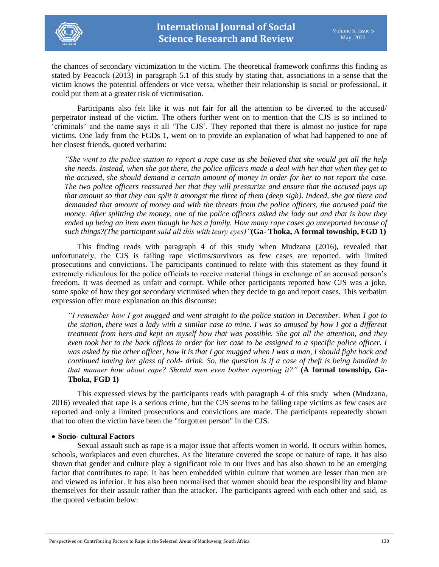

the chances of secondary victimization to the victim. The theoretical framework confirms this finding as stated by Peacock (2013) in paragraph 5.1 of this study by stating that, associations in a sense that the victim knows the potential offenders or vice versa, whether their relationship is social or professional, it could put them at a greater risk of victimisation.

Participants also felt like it was not fair for all the attention to be diverted to the accused/ perpetrator instead of the victim. The others further went on to mention that the CJS is so inclined to 'criminals' and the name says it all 'The CJS'. They reported that there is almost no justice for rape victims. One lady from the FGDs 1, went on to provide an explanation of what had happened to one of her closest friends, quoted verbatim:

*"She went to the police station to report a rape case as she believed that she would get all the help she needs. Instead, when she got there, the police officers made a deal with her that when they get to the accused, she should demand a certain amount of money in order for her to not report the case. The two police officers reassured her that they will pressurize and ensure that the accused pays up that amount so that they can split it amongst the three of them (deep sigh). Indeed, she got there and demanded that amount of money and with the threats from the police officers, the accused paid the money. After splitting the money, one of the police officers asked the lady out and that is how they ended up being an item even though he has a family. How many rape cases go unreported because of such things?(The participant said all this with teary eyes)"***(Ga- Thoka, A formal township, FGD 1)**

This finding reads with paragraph 4 of this study when Mudzana (2016), revealed that unfortunately, the CJS is failing rape victims/survivors as few cases are reported, with limited prosecutions and convictions. The participants continued to relate with this statement as they found it extremely ridiculous for the police officials to receive material things in exchange of an accused person's freedom. It was deemed as unfair and corrupt. While other participants reported how CJS was a joke, some spoke of how they got secondary victimised when they decide to go and report cases. This verbatim expression offer more explanation on this discourse:

*"I remember how I got mugged and went straight to the police station in December. When I got to the station, there was a lady with a similar case to mine. I was so amused by how I got a different treatment from hers and kept on myself how that was possible. She got all the attention, and they even took her to the back offices in order for her case to be assigned to a specific police officer. I was asked by the other officer, how it is that I got mugged when I was a man, I should fight back and continued having her glass of cold- drink. So, the question is if a case of theft is being handled in that manner how about rape? Should men even bother reporting it?"* **(A formal township, Ga-Thoka, FGD 1)**

This expressed views by the participants reads with paragraph 4 of this study when (Mudzana, 2016) revealed that rape is a serious crime, but the CJS seems to be failing rape victims as few cases are reported and only a limited prosecutions and convictions are made. The participants repeatedly shown that too often the victim have been the "forgotten person" in the CJS.

# **Socio- cultural Factors**

Sexual assault such as rape is a major issue that affects women in world. It occurs within homes, schools, workplaces and even churches. As the literature covered the scope or nature of rape, it has also shown that gender and culture play a significant role in our lives and has also shown to be an emerging factor that contributes to rape. It has been embedded within culture that women are lesser than men are and viewed as inferior. It has also been normalised that women should bear the responsibility and blame themselves for their assault rather than the attacker. The participants agreed with each other and said, as the quoted verbatim below: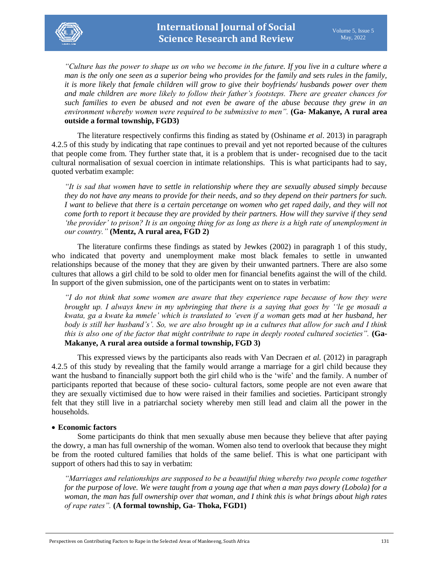

*"Culture has the power to shape us on who we become in the future. If you live in a culture where a man is the only one seen as a superior being who provides for the family and sets rules in the family, it is more likely that female children will grow to give their boyfriends/ husbands power over them and male children are more likely to follow their father's footsteps. There are greater chances for such families to even be abused and not even be aware of the abuse because they grew in an environment whereby women were required to be submissive to men".* **(Ga- Makanye, A rural area outside a formal township, FGD3)**

The literature respectively confirms this finding as stated by (Oshiname *et al*. 2013) in paragraph 4.2.5 of this study by indicating that rape continues to prevail and yet not reported because of the cultures that people come from. They further state that, it is a problem that is under- recognised due to the tacit cultural normalisation of sexual coercion in intimate relationships. This is what participants had to say, quoted verbatim example:

*"It is sad that women have to settle in relationship where they are sexually abused simply because they do not have any means to provide for their needs, and so they depend on their partners for such. I want to believe that there is a certain percetange on women who get raped daily, and they will not come forth to report it because they are provided by their partners. How will they survive if they send 'the provider' to prison? It is an ongoing thing for as long as there is a high rate of unemployment in our country."* **(Mentz, A rural area, FGD 2)**

The literature confirms these findings as stated by Jewkes (2002) in paragraph 1 of this study, who indicated that poverty and unemployment make most black females to settle in unwanted relationships because of the money that they are given by their unwanted partners. There are also some cultures that allows a girl child to be sold to older men for financial benefits against the will of the child. In support of the given submission, one of the participants went on to states in verbatim:

*"I do not think that some women are aware that they experience rape because of how they were brought up. I always knew in my upbringing that there is a saying that goes by ''le ge mosadi a kwata, ga a kwate ka mmele' which is translated to 'even if a woman gets mad at her husband, her body is still her husband's'. So, we are also brought up in a cultures that allow for such and I think this is also one of the factor that might contribute to rape in deeply rooted cultured societies".* **(Ga-Makanye, A rural area outside a formal township, FGD 3)**

This expressed views by the participants also reads with Van Decraen *et al.* (2012) in paragraph 4.2.5 of this study by revealing that the family would arrange a marriage for a girl child because they want the husband to financially support both the girl child who is the 'wife' and the family. A number of participants reported that because of these socio- cultural factors, some people are not even aware that they are sexually victimised due to how were raised in their families and societies. Participant strongly felt that they still live in a patriarchal society whereby men still lead and claim all the power in the households.

# **Economic factors**

Some participants do think that men sexually abuse men because they believe that after paying the dowry, a man has full ownership of the woman. Women also tend to overlook that because they might be from the rooted cultured families that holds of the same belief. This is what one participant with support of others had this to say in verbatim:

*"Marriages and relationships are supposed to be a beautiful thing whereby two people come together for the purpose of love. We were taught from a young age that when a man pays dowry (Lobola) for a woman, the man has full ownership over that woman, and I think this is what brings about high rates of rape rates".* **(A formal township, Ga- Thoka, FGD1)**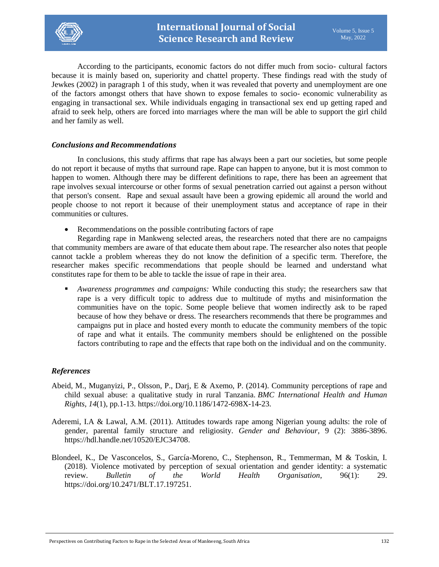

According to the participants, economic factors do not differ much from socio- cultural factors because it is mainly based on, superiority and chattel property. These findings read with the study of Jewkes (2002) in paragraph 1 of this study, when it was revealed that poverty and unemployment are one of the factors amongst others that have shown to expose females to socio- economic vulnerability as engaging in transactional sex. While individuals engaging in transactional sex end up getting raped and afraid to seek help, others are forced into marriages where the man will be able to support the girl child and her family as well.

### *Conclusions and Recommendations*

In conclusions, this study affirms that rape has always been a part our societies, but some people do not report it because of myths that surround rape. Rape can happen to anyone, but it is most common to happen to women. Although there may be different definitions to rape, there has been an agreement that rape involves sexual intercourse or other forms of sexual penetration carried out against a person without that person's consent. Rape and sexual assault have been a growing epidemic all around the world and people choose to not report it because of their unemployment status and acceptance of rape in their communities or cultures.

Recommendations on the possible contributing factors of rape

Regarding rape in Mankweng selected areas, the researchers noted that there are no campaigns that community members are aware of that educate them about rape. The researcher also notes that people cannot tackle a problem whereas they do not know the definition of a specific term. Therefore, the researcher makes specific recommendations that people should be learned and understand what constitutes rape for them to be able to tackle the issue of rape in their area.

 *Awareness programmes and campaigns:* While conducting this study; the researchers saw that rape is a very difficult topic to address due to multitude of myths and misinformation the communities have on the topic. Some people believe that women indirectly ask to be raped because of how they behave or dress. The researchers recommends that there be programmes and campaigns put in place and hosted every month to educate the community members of the topic of rape and what it entails. The community members should be enlightened on the possible factors contributing to rape and the effects that rape both on the individual and on the community.

# *References*

- Abeid, M., Muganyizi, P., Olsson, P., Darj, E & Axemo, P. (2014). Community perceptions of rape and child sexual abuse: a qualitative study in rural Tanzania. *BMC International Health and Human Rights*, *14*(1), pp.1-13. [https://doi.org/10.1186/1472-698X-14-23.](https://doi.org/10.1186/1472-698X-14-23)
- Aderemi, I.A & Lawal, A.M. (2011). Attitudes towards rape among Nigerian young adults: the role of gender, parental family structure and religiosity. *Gender and Behaviour,* 9 (2): 3886-3896. [https://hdl.handle.net/10520/EJC34708.](https://hdl.handle.net/10520/EJC34708)
- Blondeel, K., De Vasconcelos, S., García-Moreno, C., Stephenson, R., Temmerman, M & Toskin, I. (2018). Violence motivated by perception of sexual orientation and gender identity: a systematic review. *Bulletin of the World Health Organisation*, 96(1): 29. https://doi.org[/10.2471/BLT.17.197251.](https://dx.doi.org/10.2471%2FBLT.17.197251)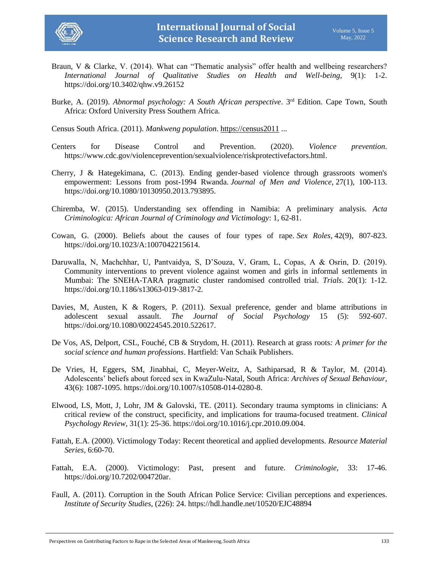

- Braun, V & Clarke, V. (2014). What can "Thematic analysis" offer health and wellbeing researchers? *International Journal of Qualitative Studies on Health and Well-being*, 9(1): 1-2. <https://doi.org/10.3402/qhw.v9.26152>
- Burke, A. (2019). *Abnormal psychology: A South African perspective*. 3<sup>rd</sup> Edition. Cape Town, South Africa: Oxford University Press Southern Africa.

Census South Africa. (2011). *Mankweng population*. [https://census2011](https://census2011/) ...

- Centers for Disease Control and Prevention. (2020). *Violence prevention*. [https://www.cdc.gov/violenceprevention/sexualviolence/riskprotectivefactors.html.](https://www.cdc.gov/violenceprevention/sexualviolence/riskprotectivefactors.html)
- Cherry, J & Hategekimana, C. (2013). Ending gender-based violence through grassroots women's empowerment: Lessons from post-1994 Rwanda. *Journal of Men and Violence*, 27(1), 100-113. [https://doi.org/10.1080/10130950.2013.793895.](https://doi.org/10.1080/10130950.2013.793895)
- Chiremba, W. (2015). Understanding sex offending in Namibia: A preliminary analysis. *Acta Criminologica: African Journal of Criminology and Victimology*: 1, 62-81.
- Cowan, G. (2000). Beliefs about the causes of four types of rape. *Sex Roles*, 42(9), 807-823. [https://doi.org/10.1023/A:1007042215614.](https://doi.org/10.1023/A:1007042215614)
- Daruwalla, N, Machchhar, U, Pantvaidya, S, D'Souza, V, Gram, L, Copas, A & Osrin, D. (2019). Community interventions to prevent violence against women and girls in informal settlements in Mumbai: The SNEHA-TARA pragmatic cluster randomised controlled trial. *Trials*. 20(1): 1-12. [https://doi.org/10.1186/s13063-019-3817-2.](https://doi.org/10.1186/s13063-019-3817-2)
- Davies, M, Austen, K & Rogers, P. (2011). Sexual preference, gender and blame attributions in adolescent sexual assault. *The Journal of Social Psychology* 15 (5): 592-607. [https://doi.org/10.1080/00224545.2010.522617.](https://doi.org/10.1080/00224545.2010.522617)
- De Vos, AS, Delport, CSL, Fouché, CB & Strydom, H. (2011). Research at grass roots*: A primer for the social science and human professions*. Hartfield: Van Schaik Publishers.
- De Vries, H, Eggers, SM, Jinabhai, C, Meyer-Weitz, A, Sathiparsad, R & Taylor, M. (2014). Adolescents' beliefs about forced sex in KwaZulu-Natal, South Africa: *Archives of Sexual Behaviour*, 43(6): 1087-1095. [https://doi.org/10.1007/s10508-014-0280-8.](https://doi.org/10.1007/s10508-014-0280-8)
- Elwood, LS, Mott, J, Lohr, JM & Galovski, TE. (2011). Secondary trauma symptoms in clinicians: A critical review of the construct, specificity, and implications for trauma-focused treatment. *Clinical Psychology Review,* 31(1): 25-36. [https://doi.org/10.1016/j.cpr.2010.09.004.](https://doi.org/10.1016/j.cpr.2010.09.004)
- Fattah, E.A. (2000). Victimology Today: Recent theoretical and applied developments. *Resource Material Series,* 6:60-70.
- Fattah, E.A. (2000). Victimology: Past, present and future. *Criminologie,* 33: 17-46. [https://doi.org/10.7202/004720ar.](https://doi.org/10.7202/004720ar)
- Faull, A. (2011). Corruption in the South African Police Service: Civilian perceptions and experiences. *Institute of Security Studies,* (226): 24.<https://hdl.handle.net/10520/EJC48894>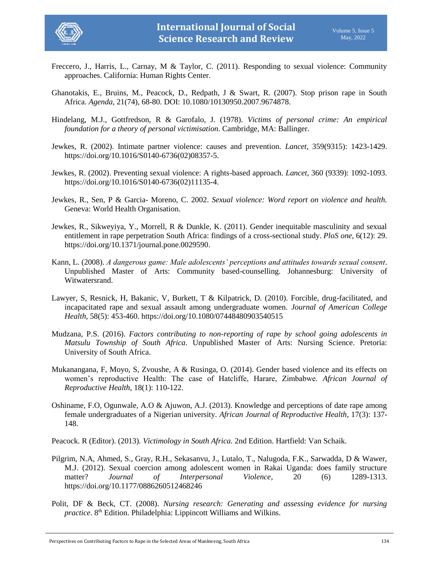

- Freccero, J., Harris, L., Carnay, M & Taylor, C. (2011). Responding to sexual violence: Community approaches. California: Human Rights Center.
- Ghanotakis, E., Bruins, M., Peacock, D., Redpath, J & Swart, R. (2007). Stop prison rape in South Africa. *Agenda*, 21(74), 68-80. DOI: [10.1080/10130950.2007.9674878.](https://doi.org/10.1080/10130950.2007.9674878)
- Hindelang, M.J., Gottfredson, R & Garofalo, J. (1978). *Victims of personal crime: An empirical foundation for a theory of personal victimisation*. Cambridge, MA: Ballinger.
- Jewkes, R. (2002). Intimate partner violence: causes and prevention. *Lancet,* 359(9315): 1423-1429. [https://doi.org/10.1016/S0140-6736\(02\)08357-5.](https://doi.org/10.1016/S0140-6736(02)08357-5)
- Jewkes, R. (2002). Preventing sexual violence: A rights-based approach. *Lancet,* 360 (9339): 1092-1093. [https://doi.org/10.1016/S0140-6736\(02\)11135-4.](https://doi.org/10.1016/S0140-6736(02)11135-4)
- Jewkes, R., Sen, P & Garcia- Moreno, C. 2002. *Sexual violence: Word report on violence and health.* Geneva: World Health Organisation.
- Jewkes, R., Sikweyiya, Y., Morrell, R & Dunkle, K. (2011). Gender inequitable masculinity and sexual entitlement in rape perpetration South Africa: findings of a cross-sectional study. *PloS one*, 6(12): 29. [https://doi.org/10.1371/journal.pone.0029590.](https://doi.org/10.1371/journal.pone.0029590)
- Kann, L. (2008). *A dangerous game: Male adolescents' perceptions and attitudes towards sexual consent*. Unpublished Master of Arts: Community based-counselling. Johannesburg: University of Witwatersrand.
- Lawyer, S, Resnick, H, Bakanic, V, Burkett, T & Kilpatrick, D. (2010). Forcible, drug-facilitated, and incapacitated rape and sexual assault among undergraduate women. *Journal of American College Health*, 58(5): 453-460.<https://doi.org/10.1080/07448480903540515>
- Mudzana, P.S. (2016). *Factors contributing to non-reporting of rape by school going adolescents in Matsulu Township of South Africa*. Unpublished Master of Arts: Nursing Science. Pretoria: University of South Africa.
- Mukanangana, F, Moyo, S, Zvoushe, A & Rusinga, O. (2014). Gender based violence and its effects on women's reproductive Health: The case of Hatcliffe, Harare, Zimbabwe. *African Journal of Reproductive Health*, 18(1): 110-122.
- Oshiname, F.O, Ogunwale, A.O & Ajuwon, A.J. (2013). Knowledge and perceptions of date rape among female undergraduates of a Nigerian university. *African Journal of Reproductive Health*, 17(3): 137- 148.
- Peacock. R (Editor). (2013). *Victimology in South Africa.* 2nd Edition. Hartfield: Van Schaik.
- Pilgrim, N.A, Ahmed, S., Gray, R.H., Sekasanvu, J., Lutalo, T., Nalugoda, F.K., Sarwadda, D & Wawer, M.J. (2012). Sexual coercion among adolescent women in Rakai Uganda: does family structure matter? *Journal of Interpersonal Violence*, 20 (6) 1289-1313. [https://doi.org/10.1177/0886260512468246](https://doi.org/10.1177%2F0886260512468246)
- Polit, DF & Beck, CT. (2008). *Nursing research: Generating and assessing evidence for nursing practice*. 8<sup>th</sup> Edition. Philadelphia: Lippincott Williams and Wilkins.